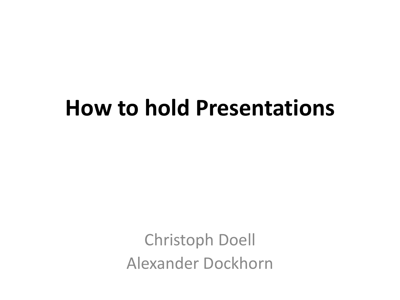#### **How to hold Presentations**

Christoph Doell Alexander Dockhorn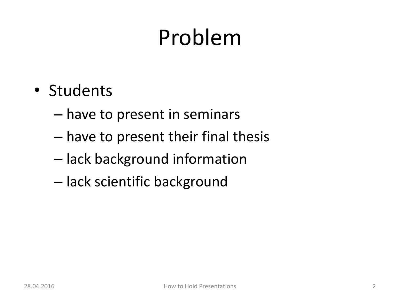## Problem

- Students
	- have to present in seminars
	- have to present their final thesis
	- lack background information
	- lack scientific background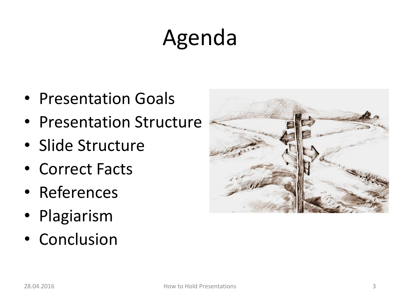# Agenda

- Presentation Goals
- Presentation Structure
- Slide Structure
- Correct Facts
- References
- Plagiarism
- Conclusion

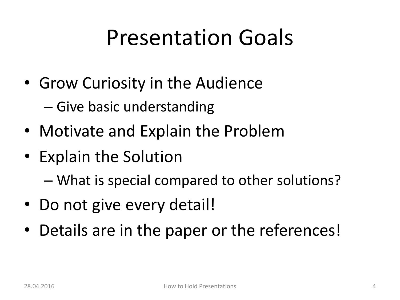### Presentation Goals

• Grow Curiosity in the Audience

– Give basic understanding

- Motivate and Explain the Problem
- Explain the Solution
	- What is special compared to other solutions?
- Do not give every detail!
- Details are in the paper or the references!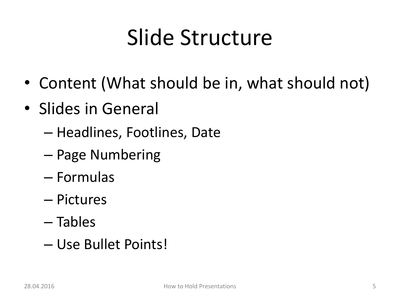### Slide Structure

- Content (What should be in, what should not)
- Slides in General
	- Headlines, Footlines, Date
	- Page Numbering
	- Formulas
	- Pictures
	- Tables
	- Use Bullet Points!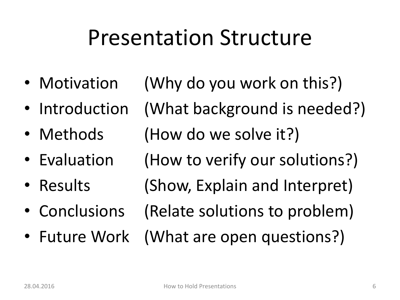#### Presentation Structure

- Motivation (Why do you work on this?)
- Introduction (What background is needed?)
- Methods (How do we solve it?)
- Evaluation (How to verify our solutions?)
- Results (Show, Explain and Interpret)
- Conclusions (Relate solutions to problem)
- Future Work (What are open questions?)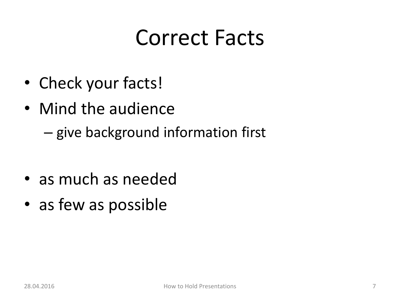#### Correct Facts

- Check your facts!
- Mind the audience

– give background information first

- as much as needed
- as few as possible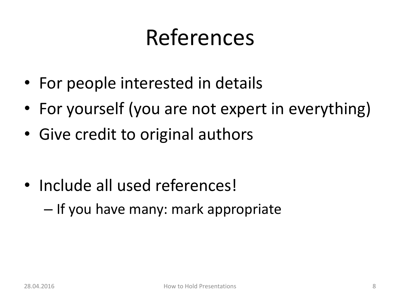### References

- For people interested in details
- For yourself (you are not expert in everything)
- Give credit to original authors

- Include all used references!
	- If you have many: mark appropriate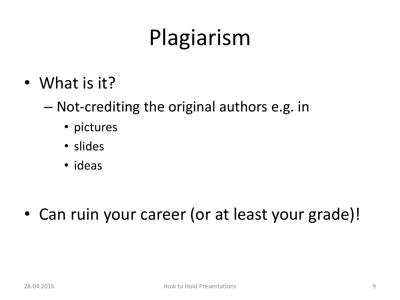## Plagiarism

- What is it?
	- Not-crediting the original authors e.g. in
		- pictures
		- slides
		- ideas

• Can ruin your career (or at least your grade)!